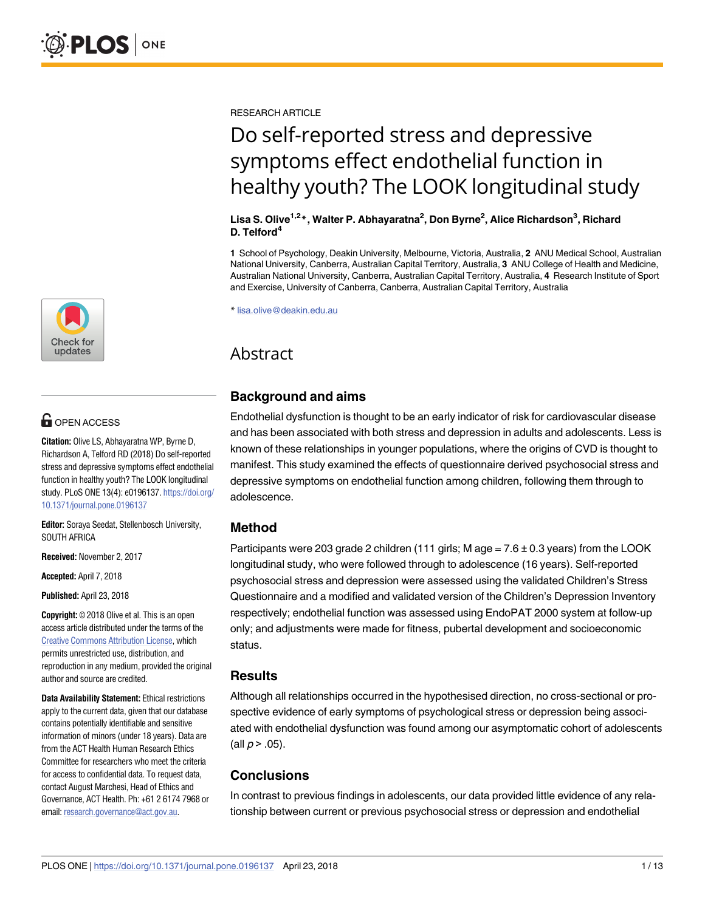

# **G** OPEN ACCESS

**Citation:** Olive LS, Abhayaratna WP, Byrne D, Richardson A, Telford RD (2018) Do self-reported stress and depressive symptoms effect endothelial function in healthy youth? The LOOK longitudinal study. PLoS ONE 13(4): e0196137. [https://doi.org/](https://doi.org/10.1371/journal.pone.0196137) [10.1371/journal.pone.0196137](https://doi.org/10.1371/journal.pone.0196137)

**Editor:** Soraya Seedat, Stellenbosch University, SOUTH AFRICA

**Received:** November 2, 2017

**Accepted:** April 7, 2018

**Published:** April 23, 2018

**Copyright:** © 2018 Olive et al. This is an open access article distributed under the terms of the Creative Commons [Attribution](http://creativecommons.org/licenses/by/4.0/) License, which permits unrestricted use, distribution, and reproduction in any medium, provided the original author and source are credited.

**Data Availability Statement:** Ethical restrictions apply to the current data, given that our database contains potentially identifiable and sensitive information of minors (under 18 years). Data are from the ACT Health Human Research Ethics Committee for researchers who meet the criteria for access to confidential data. To request data, contact August Marchesi, Head of Ethics and Governance, ACT Health. Ph: +61 2 6174 7968 or email: [research.governance@act.gov.au.](mailto:research.governance@act.gov.au)

RESEARCH ARTICLE

# Do self-reported stress and depressive symptoms effect endothelial function in healthy youth? The LOOK longitudinal study

#### **Lisa S. Olive1,2\*, Walter P. Abhayaratna2 , Don Byrne2 , Alice Richardson3 , Richard D. Telford4**

**1** School of Psychology, Deakin University, Melbourne, Victoria, Australia, **2** ANU Medical School, Australian National University, Canberra, Australian Capital Territory, Australia, **3** ANU College of Health and Medicine, Australian National University, Canberra, Australian Capital Territory, Australia, **4** Research Institute of Sport and Exercise, University of Canberra, Canberra, Australian Capital Territory, Australia

\* lisa.olive@deakin.edu.au

# Abstract

# **Background and aims**

Endothelial dysfunction is thought to be an early indicator of risk for cardiovascular disease and has been associated with both stress and depression in adults and adolescents. Less is known of these relationships in younger populations, where the origins of CVD is thought to manifest. This study examined the effects of questionnaire derived psychosocial stress and depressive symptoms on endothelial function among children, following them through to adolescence.

# **Method**

Participants were 203 grade 2 children (111 girls; M age =  $7.6 \pm 0.3$  years) from the LOOK longitudinal study, who were followed through to adolescence (16 years). Self-reported psychosocial stress and depression were assessed using the validated Children's Stress Questionnaire and a modified and validated version of the Children's Depression Inventory respectively; endothelial function was assessed using EndoPAT 2000 system at follow-up only; and adjustments were made for fitness, pubertal development and socioeconomic status.

# **Results**

Although all relationships occurred in the hypothesised direction, no cross-sectional or prospective evidence of early symptoms of psychological stress or depression being associated with endothelial dysfunction was found among our asymptomatic cohort of adolescents (all  $p > .05$ ).

# **Conclusions**

In contrast to previous findings in adolescents, our data provided little evidence of any relationship between current or previous psychosocial stress or depression and endothelial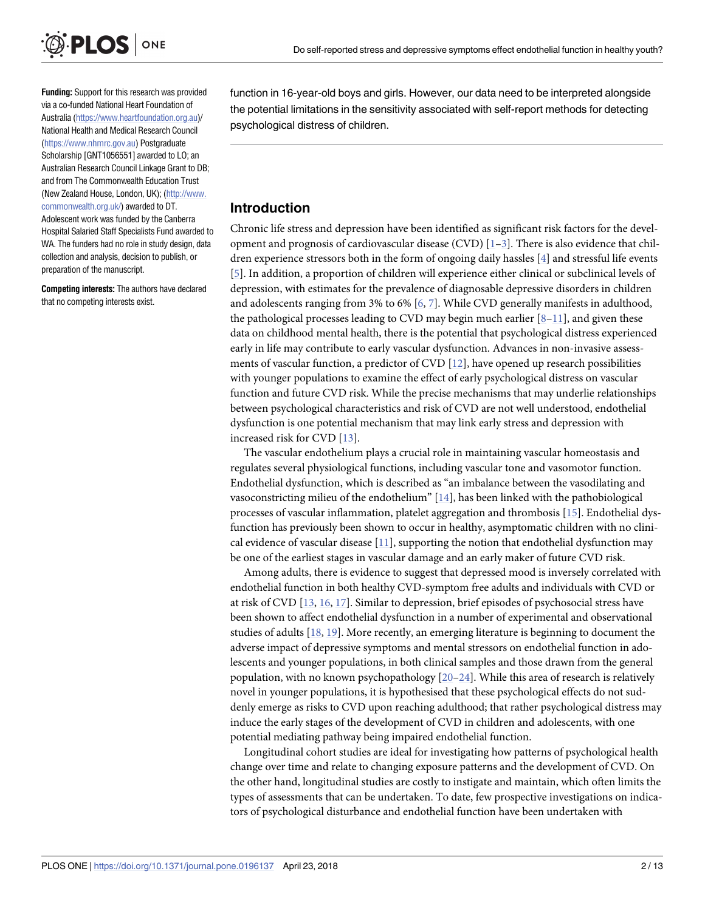<span id="page-1-0"></span>

**Funding:** Support for this research was provided via a co-funded National Heart Foundation of Australia [\(https://www.heartfoundation.org.au](https://www.heartfoundation.org.au))/ National Health and Medical Research Council [\(https://www.nhmrc.gov.au\)](https://www.nhmrc.gov.au) Postgraduate Scholarship [GNT1056551] awarded to LO; an Australian Research Council Linkage Grant to DB; and from The Commonwealth Education Trust (New Zealand House, London, UK); [\(http://www.](http://www.commonwealth.org.uk/) [commonwealth.org.uk/\)](http://www.commonwealth.org.uk/) awarded to DT. Adolescent work was funded by the Canberra Hospital Salaried Staff Specialists Fund awarded to WA. The funders had no role in study design, data collection and analysis, decision to publish, or preparation of the manuscript.

**Competing interests:** The authors have declared that no competing interests exist.

function in 16-year-old boys and girls. However, our data need to be interpreted alongside the potential limitations in the sensitivity associated with self-report methods for detecting psychological distress of children.

# **Introduction**

Chronic life stress and depression have been identified as significant risk factors for the development and prognosis of cardiovascular disease (CVD)  $[1-3]$  $[1-3]$  $[1-3]$  $[1-3]$  $[1-3]$ . There is also evidence that children experience stressors both in the form of ongoing daily hassles [[4](#page-9-0)] and stressful life events [\[5](#page-9-0)]. In addition, a proportion of children will experience either clinical or subclinical levels of depression, with estimates for the prevalence of diagnosable depressive disorders in children and adolescents ranging from 3% to 6% [\[6,](#page-9-0) [7\]](#page-10-0). While CVD generally manifests in adulthood, the pathological processes leading to CVD may begin much earlier  $[8-11]$ , and given these data on childhood mental health, there is the potential that psychological distress experienced early in life may contribute to early vascular dysfunction. Advances in non-invasive assessments of vascular function, a predictor of CVD  $[12]$  $[12]$  $[12]$ , have opened up research possibilities with younger populations to examine the effect of early psychological distress on vascular function and future CVD risk. While the precise mechanisms that may underlie relationships between psychological characteristics and risk of CVD are not well understood, endothelial dysfunction is one potential mechanism that may link early stress and depression with increased risk for CVD [[13](#page-10-0)].

The vascular endothelium plays a crucial role in maintaining vascular homeostasis and regulates several physiological functions, including vascular tone and vasomotor function. Endothelial dysfunction, which is described as "an imbalance between the vasodilating and vasoconstricting milieu of the endothelium" [[14](#page-10-0)], has been linked with the pathobiological processes of vascular inflammation, platelet aggregation and thrombosis [\[15\]](#page-10-0). Endothelial dysfunction has previously been shown to occur in healthy, asymptomatic children with no clinical evidence of vascular disease  $[11]$  $[11]$  $[11]$ , supporting the notion that endothelial dysfunction may be one of the earliest stages in vascular damage and an early maker of future CVD risk.

Among adults, there is evidence to suggest that depressed mood is inversely correlated with endothelial function in both healthy CVD-symptom free adults and individuals with CVD or at risk of CVD [\[13,](#page-10-0) [16,](#page-10-0) [17\]](#page-10-0). Similar to depression, brief episodes of psychosocial stress have been shown to affect endothelial dysfunction in a number of experimental and observational studies of adults [[18](#page-10-0), [19](#page-10-0)]. More recently, an emerging literature is beginning to document the adverse impact of depressive symptoms and mental stressors on endothelial function in adolescents and younger populations, in both clinical samples and those drawn from the general population, with no known psychopathology [\[20–24](#page-10-0)]. While this area of research is relatively novel in younger populations, it is hypothesised that these psychological effects do not suddenly emerge as risks to CVD upon reaching adulthood; that rather psychological distress may induce the early stages of the development of CVD in children and adolescents, with one potential mediating pathway being impaired endothelial function.

Longitudinal cohort studies are ideal for investigating how patterns of psychological health change over time and relate to changing exposure patterns and the development of CVD. On the other hand, longitudinal studies are costly to instigate and maintain, which often limits the types of assessments that can be undertaken. To date, few prospective investigations on indicators of psychological disturbance and endothelial function have been undertaken with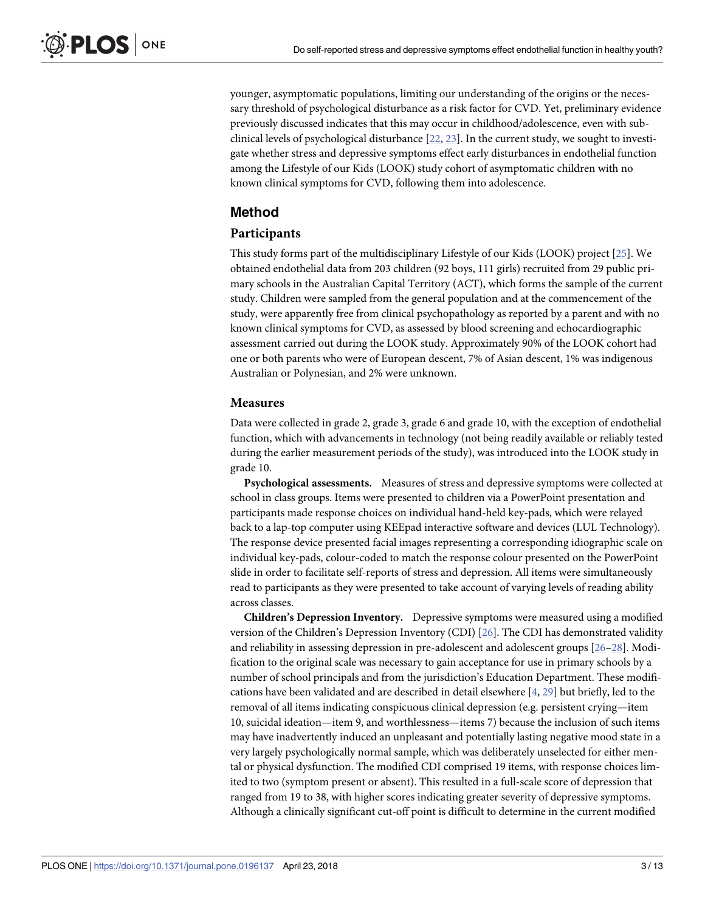<span id="page-2-0"></span>younger, asymptomatic populations, limiting our understanding of the origins or the necessary threshold of psychological disturbance as a risk factor for CVD. Yet, preliminary evidence previously discussed indicates that this may occur in childhood/adolescence, even with subclinical levels of psychological disturbance [\[22,](#page-10-0) [23\]](#page-10-0). In the current study, we sought to investigate whether stress and depressive symptoms effect early disturbances in endothelial function among the Lifestyle of our Kids (LOOK) study cohort of asymptomatic children with no known clinical symptoms for CVD, following them into adolescence.

# **Method**

#### **Participants**

This study forms part of the multidisciplinary Lifestyle of our Kids (LOOK) project [\[25\]](#page-11-0). We obtained endothelial data from 203 children (92 boys, 111 girls) recruited from 29 public primary schools in the Australian Capital Territory (ACT), which forms the sample of the current study. Children were sampled from the general population and at the commencement of the study, were apparently free from clinical psychopathology as reported by a parent and with no known clinical symptoms for CVD, as assessed by blood screening and echocardiographic assessment carried out during the LOOK study. Approximately 90% of the LOOK cohort had one or both parents who were of European descent, 7% of Asian descent, 1% was indigenous Australian or Polynesian, and 2% were unknown.

#### **Measures**

Data were collected in grade 2, grade 3, grade 6 and grade 10, with the exception of endothelial function, which with advancements in technology (not being readily available or reliably tested during the earlier measurement periods of the study), was introduced into the LOOK study in grade 10.

**Psychological assessments.** Measures of stress and depressive symptoms were collected at school in class groups. Items were presented to children via a PowerPoint presentation and participants made response choices on individual hand-held key-pads, which were relayed back to a lap-top computer using KEEpad interactive software and devices (LUL Technology). The response device presented facial images representing a corresponding idiographic scale on individual key-pads, colour-coded to match the response colour presented on the PowerPoint slide in order to facilitate self-reports of stress and depression. All items were simultaneously read to participants as they were presented to take account of varying levels of reading ability across classes.

**Children's Depression Inventory.** Depressive symptoms were measured using a modified version of the Children's Depression Inventory (CDI) [[26](#page-11-0)]. The CDI has demonstrated validity and reliability in assessing depression in pre-adolescent and adolescent groups [[26–28\]](#page-11-0). Modification to the original scale was necessary to gain acceptance for use in primary schools by a number of school principals and from the jurisdiction's Education Department. These modifications have been validated and are described in detail elsewhere [\[4,](#page-9-0) [29\]](#page-11-0) but briefly, led to the removal of all items indicating conspicuous clinical depression (e.g. persistent crying—item 10, suicidal ideation—item 9, and worthlessness—items 7) because the inclusion of such items may have inadvertently induced an unpleasant and potentially lasting negative mood state in a very largely psychologically normal sample, which was deliberately unselected for either mental or physical dysfunction. The modified CDI comprised 19 items, with response choices limited to two (symptom present or absent). This resulted in a full-scale score of depression that ranged from 19 to 38, with higher scores indicating greater severity of depressive symptoms. Although a clinically significant cut-off point is difficult to determine in the current modified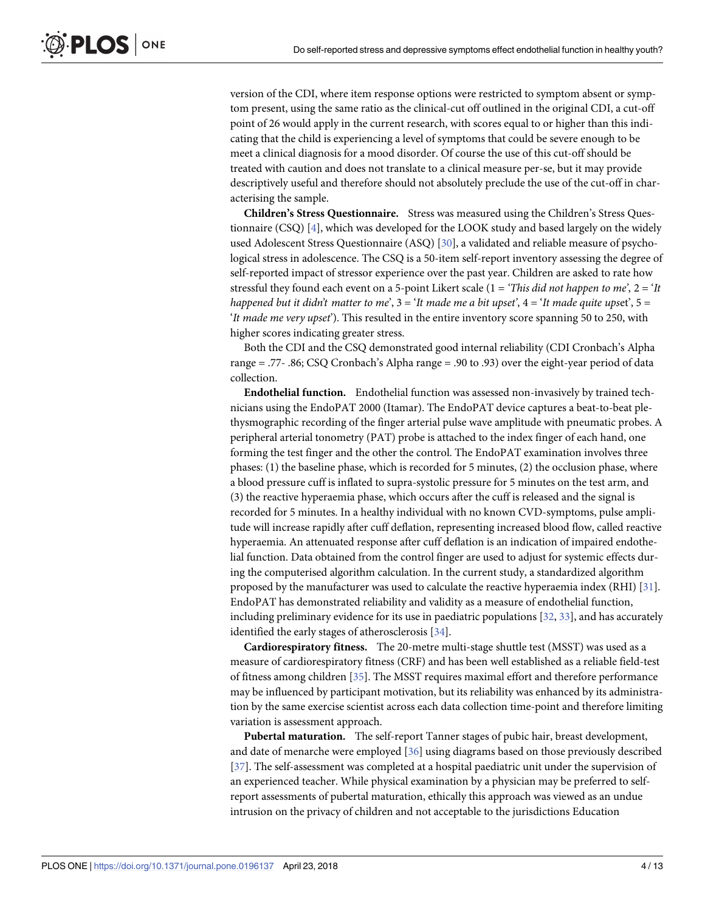<span id="page-3-0"></span>version of the CDI, where item response options were restricted to symptom absent or symptom present, using the same ratio as the clinical-cut off outlined in the original CDI, a cut-off point of 26 would apply in the current research, with scores equal to or higher than this indicating that the child is experiencing a level of symptoms that could be severe enough to be meet a clinical diagnosis for a mood disorder. Of course the use of this cut-off should be treated with caution and does not translate to a clinical measure per-se, but it may provide descriptively useful and therefore should not absolutely preclude the use of the cut-off in characterising the sample.

**Children's Stress Questionnaire.** Stress was measured using the Children's Stress Questionnaire (CSQ) [\[4\]](#page-9-0), which was developed for the LOOK study and based largely on the widely used Adolescent Stress Questionnaire (ASQ) [\[30\]](#page-11-0), a validated and reliable measure of psychological stress in adolescence. The CSQ is a 50-item self-report inventory assessing the degree of self-reported impact of stressor experience over the past year. Children are asked to rate how stressful they found each event on a 5-point Likert scale (1 = *'This did not happen to me'*, 2 = '*It happened but it didn't matter to*  $me'$ ,  $3 = 'It$  *made me a bit upset*',  $4 = 'It$  *made quite upset*',  $5 =$ '*It made me very upset*'). This resulted in the entire inventory score spanning 50 to 250, with higher scores indicating greater stress.

Both the CDI and the CSQ demonstrated good internal reliability (CDI Cronbach's Alpha range = .77- .86; CSQ Cronbach's Alpha range = .90 to .93) over the eight-year period of data collection.

**Endothelial function.** Endothelial function was assessed non-invasively by trained technicians using the EndoPAT 2000 (Itamar). The EndoPAT device captures a beat-to-beat plethysmographic recording of the finger arterial pulse wave amplitude with pneumatic probes. A peripheral arterial tonometry (PAT) probe is attached to the index finger of each hand, one forming the test finger and the other the control. The EndoPAT examination involves three phases: (1) the baseline phase, which is recorded for 5 minutes, (2) the occlusion phase, where a blood pressure cuff is inflated to supra-systolic pressure for 5 minutes on the test arm, and (3) the reactive hyperaemia phase, which occurs after the cuff is released and the signal is recorded for 5 minutes. In a healthy individual with no known CVD-symptoms, pulse amplitude will increase rapidly after cuff deflation, representing increased blood flow, called reactive hyperaemia. An attenuated response after cuff deflation is an indication of impaired endothelial function. Data obtained from the control finger are used to adjust for systemic effects during the computerised algorithm calculation. In the current study, a standardized algorithm proposed by the manufacturer was used to calculate the reactive hyperaemia index (RHI) [[31](#page-11-0)]. EndoPAT has demonstrated reliability and validity as a measure of endothelial function, including preliminary evidence for its use in paediatric populations [[32](#page-11-0), [33](#page-11-0)], and has accurately identified the early stages of atherosclerosis [\[34](#page-11-0)].

**Cardiorespiratory fitness.** The 20-metre multi-stage shuttle test (MSST) was used as a measure of cardiorespiratory fitness (CRF) and has been well established as a reliable field-test of fitness among children [[35](#page-11-0)]. The MSST requires maximal effort and therefore performance may be influenced by participant motivation, but its reliability was enhanced by its administration by the same exercise scientist across each data collection time-point and therefore limiting variation is assessment approach.

**Pubertal maturation.** The self-report Tanner stages of pubic hair, breast development, and date of menarche were employed [\[36\]](#page-11-0) using diagrams based on those previously described [\[37\]](#page-11-0). The self-assessment was completed at a hospital paediatric unit under the supervision of an experienced teacher. While physical examination by a physician may be preferred to selfreport assessments of pubertal maturation, ethically this approach was viewed as an undue intrusion on the privacy of children and not acceptable to the jurisdictions Education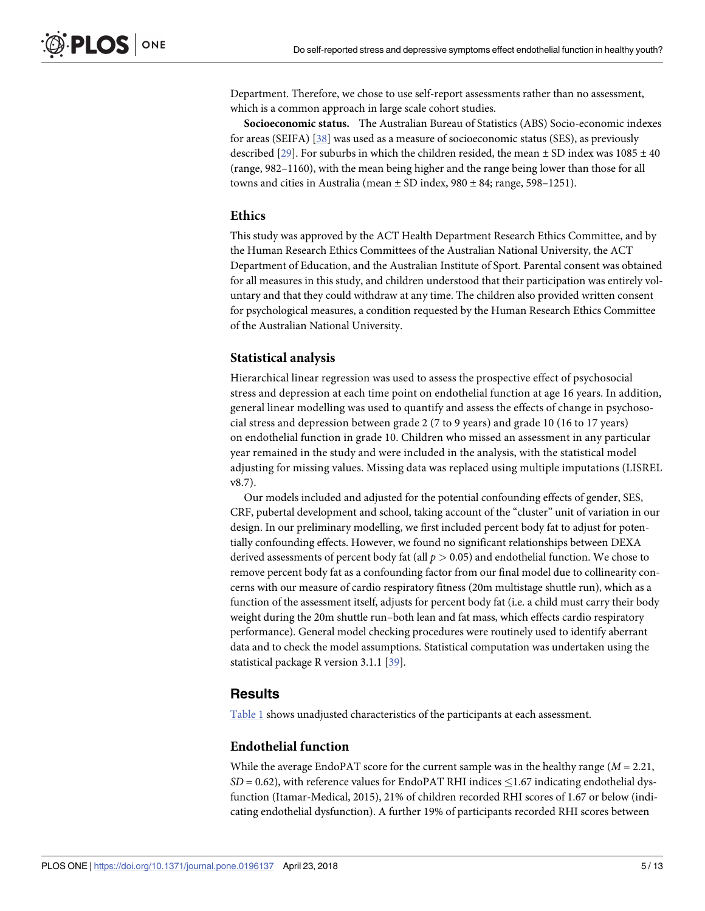<span id="page-4-0"></span>Department. Therefore, we chose to use self-report assessments rather than no assessment, which is a common approach in large scale cohort studies.

**Socioeconomic status.** The Australian Bureau of Statistics (ABS) Socio-economic indexes for areas (SEIFA) [[38](#page-11-0)] was used as a measure of socioeconomic status (SES), as previously described [[29](#page-11-0)]. For suburbs in which the children resided, the mean  $\pm$  SD index was 1085  $\pm$  40 (range, 982–1160), with the mean being higher and the range being lower than those for all towns and cities in Australia (mean ± SD index, 980 ± 84; range, 598–1251).

#### **Ethics**

This study was approved by the ACT Health Department Research Ethics Committee, and by the Human Research Ethics Committees of the Australian National University, the ACT Department of Education, and the Australian Institute of Sport. Parental consent was obtained for all measures in this study, and children understood that their participation was entirely voluntary and that they could withdraw at any time. The children also provided written consent for psychological measures, a condition requested by the Human Research Ethics Committee of the Australian National University.

#### **Statistical analysis**

Hierarchical linear regression was used to assess the prospective effect of psychosocial stress and depression at each time point on endothelial function at age 16 years. In addition, general linear modelling was used to quantify and assess the effects of change in psychosocial stress and depression between grade 2 (7 to 9 years) and grade 10 (16 to 17 years) on endothelial function in grade 10. Children who missed an assessment in any particular year remained in the study and were included in the analysis, with the statistical model adjusting for missing values. Missing data was replaced using multiple imputations (LISREL v8.7).

Our models included and adjusted for the potential confounding effects of gender, SES, CRF, pubertal development and school, taking account of the "cluster" unit of variation in our design. In our preliminary modelling, we first included percent body fat to adjust for potentially confounding effects. However, we found no significant relationships between DEXA derived assessments of percent body fat (all *p >* 0.05) and endothelial function. We chose to remove percent body fat as a confounding factor from our final model due to collinearity concerns with our measure of cardio respiratory fitness (20m multistage shuttle run), which as a function of the assessment itself, adjusts for percent body fat (i.e. a child must carry their body weight during the 20m shuttle run–both lean and fat mass, which effects cardio respiratory performance). General model checking procedures were routinely used to identify aberrant data and to check the model assumptions. Statistical computation was undertaken using the statistical package R version 3.1.1 [[39](#page-11-0)].

# **Results**

[Table](#page-5-0) 1 shows unadjusted characteristics of the participants at each assessment.

#### **Endothelial function**

While the average EndoPAT score for the current sample was in the healthy range  $(M = 2.21$ ,  $SD = 0.62$ ), with reference values for EndoPAT RHI indices  $\leq$ 1.67 indicating endothelial dysfunction (Itamar-Medical, 2015), 21% of children recorded RHI scores of 1.67 or below (indicating endothelial dysfunction). A further 19% of participants recorded RHI scores between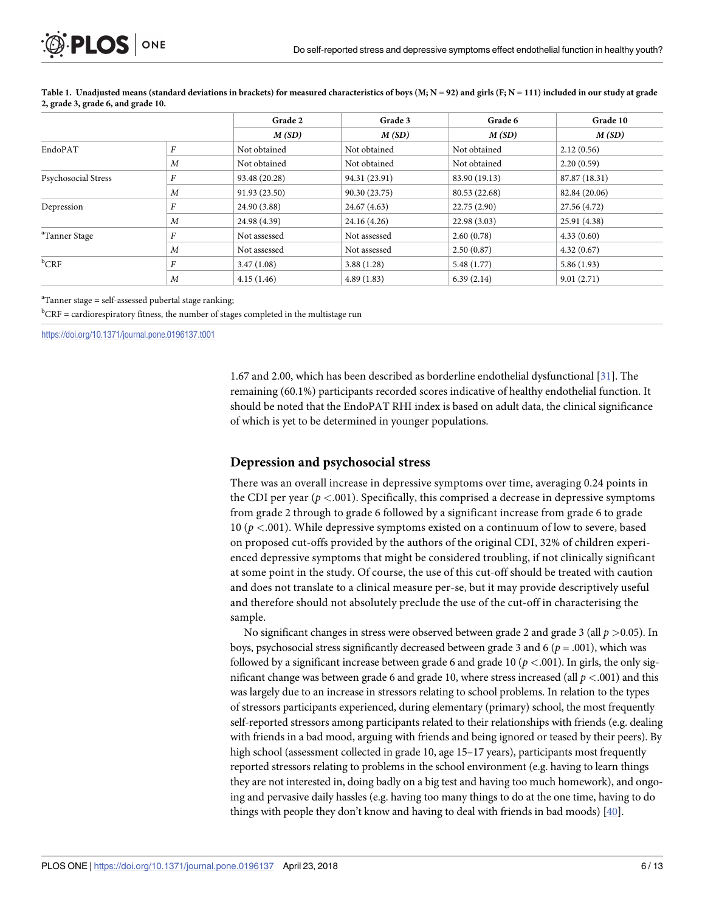<span id="page-5-0"></span>

|                           |   | Grade 2       | Grade 3       | Grade 6       | Grade 10      |
|---------------------------|---|---------------|---------------|---------------|---------------|
|                           |   | M(SD)         | M(SD)         | M(SD)         | M(SD)         |
| EndoPAT                   | F | Not obtained  | Not obtained  | Not obtained  | 2.12(0.56)    |
|                           | M | Not obtained  | Not obtained  | Not obtained  | 2.20(0.59)    |
| Psychosocial Stress       | F | 93.48 (20.28) | 94.31 (23.91) | 83.90 (19.13) | 87.87 (18.31) |
|                           | M | 91.93 (23.50) | 90.30 (23.75) | 80.53 (22.68) | 82.84 (20.06) |
| Depression                | F | 24.90 (3.88)  | 24.67 (4.63)  | 22.75 (2.90)  | 27.56 (4.72)  |
|                           | M | 24.98 (4.39)  | 24.16 (4.26)  | 22.98 (3.03)  | 25.91 (4.38)  |
| <sup>a</sup> Tanner Stage | F | Not assessed  | Not assessed  | 2.60(0.78)    | 4.33(0.60)    |
|                           | M | Not assessed  | Not assessed  | 2.50(0.87)    | 4.32(0.67)    |
| ${}^{\rm b}$ CRF          | F | 3.47(1.08)    | 3.88(1.28)    | 5.48(1.77)    | 5.86(1.93)    |
|                           | M | 4.15(1.46)    | 4.89(1.83)    | 6.39(2.14)    | 9.01(2.71)    |

[Table](#page-4-0) 1. Unadjusted means (standard deviations in brackets) for measured characteristics of boys (M; N = 92) and girls (F; N = 111) included in our study at grade **2, grade 3, grade 6, and grade 10.**

<sup>a</sup>Tanner stage = self-assessed pubertal stage ranking;

 ${}^{b}$ CRF = cardiorespiratory fitness, the number of stages completed in the multistage run

<https://doi.org/10.1371/journal.pone.0196137.t001>

1.67 and 2.00, which has been described as borderline endothelial dysfunctional [[31](#page-11-0)]. The remaining (60.1%) participants recorded scores indicative of healthy endothelial function. It should be noted that the EndoPAT RHI index is based on adult data, the clinical significance of which is yet to be determined in younger populations.

#### **Depression and psychosocial stress**

There was an overall increase in depressive symptoms over time, averaging 0.24 points in the CDI per year ( $p < 0.001$ ). Specifically, this comprised a decrease in depressive symptoms from grade 2 through to grade 6 followed by a significant increase from grade 6 to grade 10 (*p <*.001). While depressive symptoms existed on a continuum of low to severe, based on proposed cut-offs provided by the authors of the original CDI, 32% of children experienced depressive symptoms that might be considered troubling, if not clinically significant at some point in the study. Of course, the use of this cut-off should be treated with caution and does not translate to a clinical measure per-se, but it may provide descriptively useful and therefore should not absolutely preclude the use of the cut-off in characterising the sample.

No significant changes in stress were observed between grade 2 and grade 3 (all *p >*0.05). In boys, psychosocial stress significantly decreased between grade 3 and 6 (*p* = .001), which was followed by a significant increase between grade 6 and grade 10  $(p < .001)$ . In girls, the only significant change was between grade 6 and grade 10, where stress increased (all *p <*.001) and this was largely due to an increase in stressors relating to school problems. In relation to the types of stressors participants experienced, during elementary (primary) school, the most frequently self-reported stressors among participants related to their relationships with friends (e.g. dealing with friends in a bad mood, arguing with friends and being ignored or teased by their peers). By high school (assessment collected in grade 10, age 15–17 years), participants most frequently reported stressors relating to problems in the school environment (e.g. having to learn things they are not interested in, doing badly on a big test and having too much homework), and ongoing and pervasive daily hassles (e.g. having too many things to do at the one time, having to do things with people they don't know and having to deal with friends in bad moods) [\[40](#page-11-0)].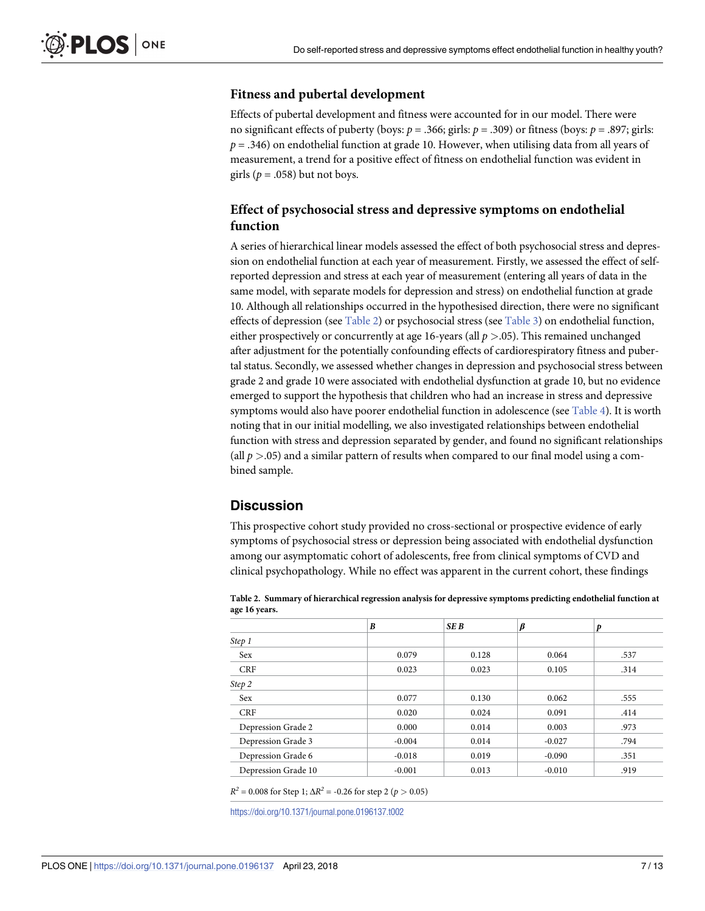#### <span id="page-6-0"></span>**Fitness and pubertal development**

Effects of pubertal development and fitness were accounted for in our model. There were no significant effects of puberty (boys:  $p = .366$ ; girls:  $p = .309$ ) or fitness (boys:  $p = .897$ ; girls: *p* = .346) on endothelial function at grade 10. However, when utilising data from all years of measurement, a trend for a positive effect of fitness on endothelial function was evident in girls ( $p = .058$ ) but not boys.

### **Effect of psychosocial stress and depressive symptoms on endothelial function**

A series of hierarchical linear models assessed the effect of both psychosocial stress and depression on endothelial function at each year of measurement. Firstly, we assessed the effect of selfreported depression and stress at each year of measurement (entering all years of data in the same model, with separate models for depression and stress) on endothelial function at grade 10. Although all relationships occurred in the hypothesised direction, there were no significant effects of depression (see Table 2) or psychosocial stress (see [Table](#page-7-0) 3) on endothelial function, either prospectively or concurrently at age 16-years (all *p >*.05). This remained unchanged after adjustment for the potentially confounding effects of cardiorespiratory fitness and pubertal status. Secondly, we assessed whether changes in depression and psychosocial stress between grade 2 and grade 10 were associated with endothelial dysfunction at grade 10, but no evidence emerged to support the hypothesis that children who had an increase in stress and depressive symptoms would also have poorer endothelial function in adolescence (see [Table](#page-7-0) 4). It is worth noting that in our initial modelling, we also investigated relationships between endothelial function with stress and depression separated by gender, and found no significant relationships (all  $p > 0.05$ ) and a similar pattern of results when compared to our final model using a combined sample.

# **Discussion**

This prospective cohort study provided no cross-sectional or prospective evidence of early symptoms of psychosocial stress or depression being associated with endothelial dysfunction among our asymptomatic cohort of adolescents, free from clinical symptoms of CVD and clinical psychopathology. While no effect was apparent in the current cohort, these findings

**Table 2. Summary of hierarchical regression analysis for depressive symptoms predicting endothelial function at age 16 years.**

|                     | B        | SE B  | β        | p    |
|---------------------|----------|-------|----------|------|
| Step 1              |          |       |          |      |
| Sex                 | 0.079    | 0.128 | 0.064    | .537 |
| <b>CRF</b>          | 0.023    | 0.023 | 0.105    | .314 |
| Step 2              |          |       |          |      |
| Sex                 | 0.077    | 0.130 | 0.062    | .555 |
| <b>CRF</b>          | 0.020    | 0.024 | 0.091    | .414 |
| Depression Grade 2  | 0.000    | 0.014 | 0.003    | .973 |
| Depression Grade 3  | $-0.004$ | 0.014 | $-0.027$ | .794 |
| Depression Grade 6  | $-0.018$ | 0.019 | $-0.090$ | .351 |
| Depression Grade 10 | $-0.001$ | 0.013 | $-0.010$ | .919 |

 $R^2 = 0.008$  for Step 1;  $\Delta R^2 = -0.26$  for step 2 (*p* > 0.05)

<https://doi.org/10.1371/journal.pone.0196137.t002>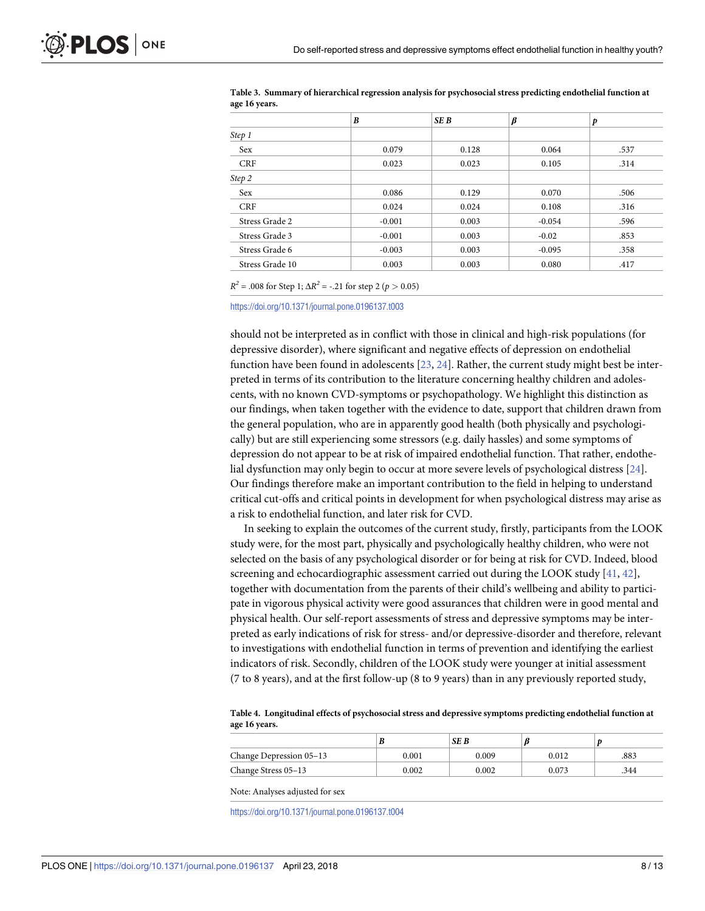|                 | B        | SE B  | β        | p    |
|-----------------|----------|-------|----------|------|
| Step 1          |          |       |          |      |
| Sex             | 0.079    | 0.128 | 0.064    | .537 |
| <b>CRF</b>      | 0.023    | 0.023 | 0.105    | .314 |
| Step 2          |          |       |          |      |
| Sex             | 0.086    | 0.129 | 0.070    | .506 |
| <b>CRF</b>      | 0.024    | 0.024 | 0.108    | .316 |
| Stress Grade 2  | $-0.001$ | 0.003 | $-0.054$ | .596 |
| Stress Grade 3  | $-0.001$ | 0.003 | $-0.02$  | .853 |
| Stress Grade 6  | $-0.003$ | 0.003 | $-0.095$ | .358 |
| Stress Grade 10 | 0.003    | 0.003 | 0.080    | .417 |

<span id="page-7-0"></span>**[Table](#page-6-0) 3. Summary of hierarchical regression analysis for psychosocial stress predicting endothelial function at age 16 years.**

 $R^2$  = .008 for Step 1;  $\Delta R^2$  = -.21 for step 2 (*p* > 0.05)

<https://doi.org/10.1371/journal.pone.0196137.t003>

should not be interpreted as in conflict with those in clinical and high-risk populations (for depressive disorder), where significant and negative effects of depression on endothelial function have been found in adolescents [\[23,](#page-10-0) [24\]](#page-10-0). Rather, the current study might best be interpreted in terms of its contribution to the literature concerning healthy children and adolescents, with no known CVD-symptoms or psychopathology. We highlight this distinction as our findings, when taken together with the evidence to date, support that children drawn from the general population, who are in apparently good health (both physically and psychologically) but are still experiencing some stressors (e.g. daily hassles) and some symptoms of depression do not appear to be at risk of impaired endothelial function. That rather, endothelial dysfunction may only begin to occur at more severe levels of psychological distress [\[24\]](#page-10-0). Our findings therefore make an important contribution to the field in helping to understand critical cut-offs and critical points in development for when psychological distress may arise as a risk to endothelial function, and later risk for CVD.

In seeking to explain the outcomes of the current study, firstly, participants from the LOOK study were, for the most part, physically and psychologically healthy children, who were not selected on the basis of any psychological disorder or for being at risk for CVD. Indeed, blood screening and echocardiographic assessment carried out during the LOOK study [[41](#page-11-0), [42](#page-11-0)], together with documentation from the parents of their child's wellbeing and ability to participate in vigorous physical activity were good assurances that children were in good mental and physical health. Our self-report assessments of stress and depressive symptoms may be interpreted as early indications of risk for stress- and/or depressive-disorder and therefore, relevant to investigations with endothelial function in terms of prevention and identifying the earliest indicators of risk. Secondly, children of the LOOK study were younger at initial assessment (7 to 8 years), and at the first follow-up (8 to 9 years) than in any previously reported study,

**[Table](#page-6-0) 4. Longitudinal effects of psychosocial stress and depressive symptoms predicting endothelial function at age 16 years.**

|                         | В     | SE B  |       |      |
|-------------------------|-------|-------|-------|------|
| Change Depression 05-13 | 0.001 | 0.009 | 0.012 | 883  |
| Change Stress 05-13     | 0.002 | 0.002 | 0.073 | .344 |

Note: Analyses adjusted for sex

<https://doi.org/10.1371/journal.pone.0196137.t004>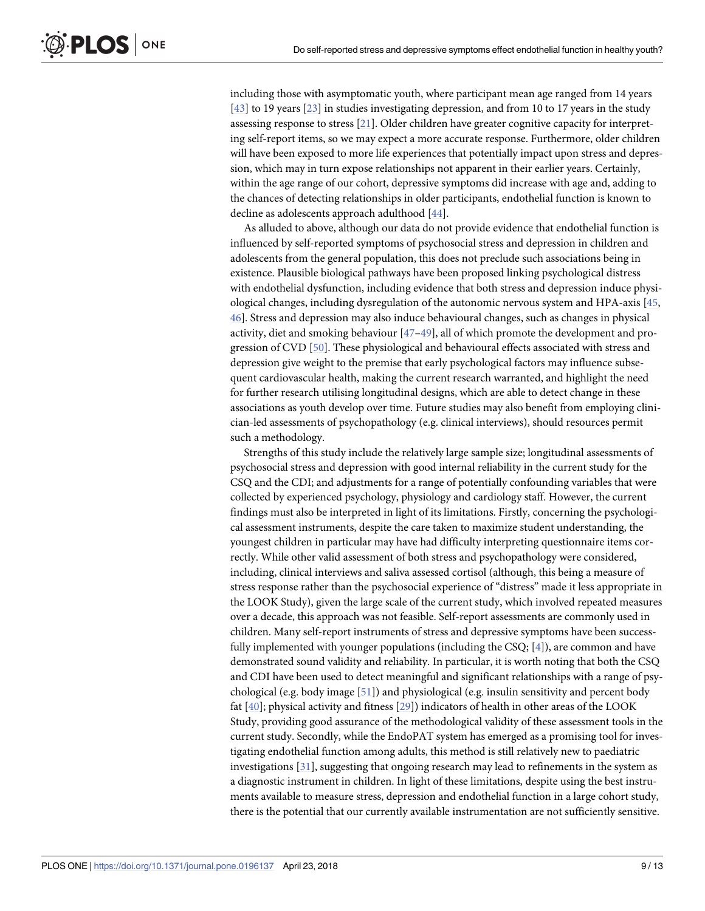<span id="page-8-0"></span>including those with asymptomatic youth, where participant mean age ranged from 14 years [\[43\]](#page-11-0) to 19 years [[23](#page-10-0)] in studies investigating depression, and from 10 to 17 years in the study assessing response to stress [[21](#page-10-0)]. Older children have greater cognitive capacity for interpreting self-report items, so we may expect a more accurate response. Furthermore, older children will have been exposed to more life experiences that potentially impact upon stress and depression, which may in turn expose relationships not apparent in their earlier years. Certainly, within the age range of our cohort, depressive symptoms did increase with age and, adding to the chances of detecting relationships in older participants, endothelial function is known to decline as adolescents approach adulthood [[44](#page-11-0)].

As alluded to above, although our data do not provide evidence that endothelial function is influenced by self-reported symptoms of psychosocial stress and depression in children and adolescents from the general population, this does not preclude such associations being in existence. Plausible biological pathways have been proposed linking psychological distress with endothelial dysfunction, including evidence that both stress and depression induce physiological changes, including dysregulation of the autonomic nervous system and HPA-axis [\[45,](#page-11-0) [46\]](#page-11-0). Stress and depression may also induce behavioural changes, such as changes in physical activity, diet and smoking behaviour [[47–49\]](#page-12-0), all of which promote the development and progression of CVD [[50](#page-12-0)]. These physiological and behavioural effects associated with stress and depression give weight to the premise that early psychological factors may influence subsequent cardiovascular health, making the current research warranted, and highlight the need for further research utilising longitudinal designs, which are able to detect change in these associations as youth develop over time. Future studies may also benefit from employing clinician-led assessments of psychopathology (e.g. clinical interviews), should resources permit such a methodology.

Strengths of this study include the relatively large sample size; longitudinal assessments of psychosocial stress and depression with good internal reliability in the current study for the CSQ and the CDI; and adjustments for a range of potentially confounding variables that were collected by experienced psychology, physiology and cardiology staff. However, the current findings must also be interpreted in light of its limitations. Firstly, concerning the psychological assessment instruments, despite the care taken to maximize student understanding, the youngest children in particular may have had difficulty interpreting questionnaire items correctly. While other valid assessment of both stress and psychopathology were considered, including, clinical interviews and saliva assessed cortisol (although, this being a measure of stress response rather than the psychosocial experience of "distress" made it less appropriate in the LOOK Study), given the large scale of the current study, which involved repeated measures over a decade, this approach was not feasible. Self-report assessments are commonly used in children. Many self-report instruments of stress and depressive symptoms have been successfully implemented with younger populations (including the CSQ; [\[4\]](#page-9-0)), are common and have demonstrated sound validity and reliability. In particular, it is worth noting that both the CSQ and CDI have been used to detect meaningful and significant relationships with a range of psychological (e.g. body image [[51\]](#page-12-0)) and physiological (e.g. insulin sensitivity and percent body fat [[40](#page-11-0)]; physical activity and fitness [\[29\]](#page-11-0)) indicators of health in other areas of the LOOK Study, providing good assurance of the methodological validity of these assessment tools in the current study. Secondly, while the EndoPAT system has emerged as a promising tool for investigating endothelial function among adults, this method is still relatively new to paediatric investigations [[31](#page-11-0)], suggesting that ongoing research may lead to refinements in the system as a diagnostic instrument in children. In light of these limitations, despite using the best instruments available to measure stress, depression and endothelial function in a large cohort study, there is the potential that our currently available instrumentation are not sufficiently sensitive.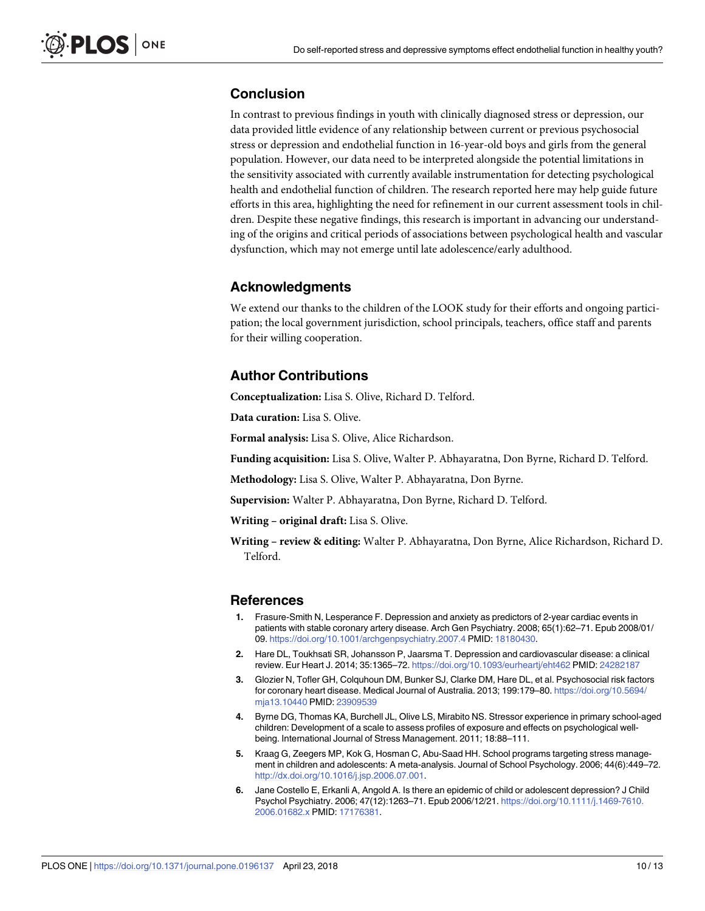# <span id="page-9-0"></span>**Conclusion**

In contrast to previous findings in youth with clinically diagnosed stress or depression, our data provided little evidence of any relationship between current or previous psychosocial stress or depression and endothelial function in 16-year-old boys and girls from the general population. However, our data need to be interpreted alongside the potential limitations in the sensitivity associated with currently available instrumentation for detecting psychological health and endothelial function of children. The research reported here may help guide future efforts in this area, highlighting the need for refinement in our current assessment tools in children. Despite these negative findings, this research is important in advancing our understanding of the origins and critical periods of associations between psychological health and vascular dysfunction, which may not emerge until late adolescence/early adulthood.

# **Acknowledgments**

We extend our thanks to the children of the LOOK study for their efforts and ongoing participation; the local government jurisdiction, school principals, teachers, office staff and parents for their willing cooperation.

# **Author Contributions**

**Conceptualization:** Lisa S. Olive, Richard D. Telford.

**Data curation:** Lisa S. Olive.

**Formal analysis:** Lisa S. Olive, Alice Richardson.

**Funding acquisition:** Lisa S. Olive, Walter P. Abhayaratna, Don Byrne, Richard D. Telford.

**Methodology:** Lisa S. Olive, Walter P. Abhayaratna, Don Byrne.

**Supervision:** Walter P. Abhayaratna, Don Byrne, Richard D. Telford.

**Writing – original draft:** Lisa S. Olive.

**Writing – review & editing:** Walter P. Abhayaratna, Don Byrne, Alice Richardson, Richard D. Telford.

#### **References**

- **[1](#page-1-0).** Frasure-Smith N, Lesperance F. Depression and anxiety as predictors of 2-year cardiac events in patients with stable coronary artery disease. Arch Gen Psychiatry. 2008; 65(1):62–71. Epub 2008/01/ 09. <https://doi.org/10.1001/archgenpsychiatry.2007.4> PMID: [18180430](http://www.ncbi.nlm.nih.gov/pubmed/18180430).
- **2.** Hare DL, Toukhsati SR, Johansson P, Jaarsma T. Depression and cardiovascular disease: a clinical review. Eur Heart J. 2014; 35:1365–72. <https://doi.org/10.1093/eurheartj/eht462> PMID: [24282187](http://www.ncbi.nlm.nih.gov/pubmed/24282187)
- **[3](#page-1-0).** Glozier N, Tofler GH, Colquhoun DM, Bunker SJ, Clarke DM, Hare DL, et al. Psychosocial risk factors for coronary heart disease. Medical Journal of Australia. 2013; 199:179–80. [https://doi.org/10.5694/](https://doi.org/10.5694/mja13.10440) [mja13.10440](https://doi.org/10.5694/mja13.10440) PMID: [23909539](http://www.ncbi.nlm.nih.gov/pubmed/23909539)
- **[4](#page-1-0).** Byrne DG, Thomas KA, Burchell JL, Olive LS, Mirabito NS. Stressor experience in primary school-aged children: Development of a scale to assess profiles of exposure and effects on psychological wellbeing. International Journal of Stress Management. 2011; 18:88–111.
- **[5](#page-1-0).** Kraag G, Zeegers MP, Kok G, Hosman C, Abu-Saad HH. School programs targeting stress management in children and adolescents: A meta-analysis. Journal of School Psychology. 2006; 44(6):449–72. <http://dx.doi.org/10.1016/j.jsp.2006.07.001>.
- **[6](#page-1-0).** Jane Costello E, Erkanli A, Angold A. Is there an epidemic of child or adolescent depression? J Child Psychol Psychiatry. 2006; 47(12):1263–71. Epub 2006/12/21. [https://doi.org/10.1111/j.1469-7610.](https://doi.org/10.1111/j.1469-7610.2006.01682.x) [2006.01682.x](https://doi.org/10.1111/j.1469-7610.2006.01682.x) PMID: [17176381](http://www.ncbi.nlm.nih.gov/pubmed/17176381).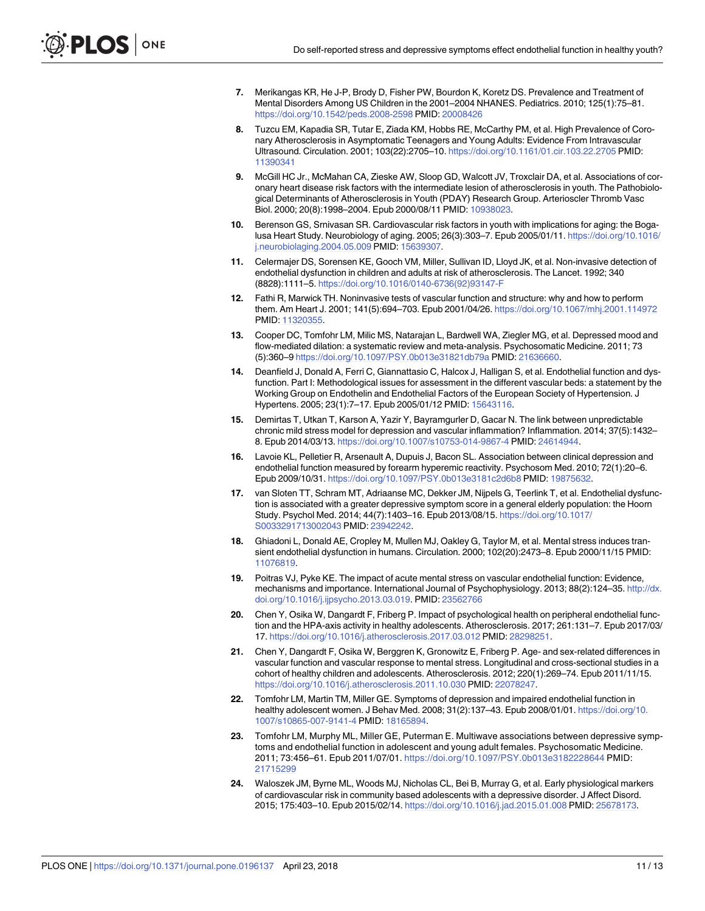- <span id="page-10-0"></span>**[7](#page-1-0).** Merikangas KR, He J-P, Brody D, Fisher PW, Bourdon K, Koretz DS. Prevalence and Treatment of Mental Disorders Among US Children in the 2001–2004 NHANES. Pediatrics. 2010; 125(1):75–81. <https://doi.org/10.1542/peds.2008-2598> PMID: [20008426](http://www.ncbi.nlm.nih.gov/pubmed/20008426)
- **[8](#page-1-0).** Tuzcu EM, Kapadia SR, Tutar E, Ziada KM, Hobbs RE, McCarthy PM, et al. High Prevalence of Coronary Atherosclerosis in Asymptomatic Teenagers and Young Adults: Evidence From Intravascular Ultrasound. Circulation. 2001; 103(22):2705–10. <https://doi.org/10.1161/01.cir.103.22.2705> PMID: [11390341](http://www.ncbi.nlm.nih.gov/pubmed/11390341)
- **9.** McGill HC Jr., McMahan CA, Zieske AW, Sloop GD, Walcott JV, Troxclair DA, et al. Associations of coronary heart disease risk factors with the intermediate lesion of atherosclerosis in youth. The Pathobiological Determinants of Atherosclerosis in Youth (PDAY) Research Group. Arterioscler Thromb Vasc Biol. 2000; 20(8):1998–2004. Epub 2000/08/11 PMID: [10938023.](http://www.ncbi.nlm.nih.gov/pubmed/10938023)
- **10.** Berenson GS, Srnivasan SR. Cardiovascular risk factors in youth with implications for aging: the Bogalusa Heart Study. Neurobiology of aging. 2005; 26(3):303–7. Epub 2005/01/11. [https://doi.org/10.1016/](https://doi.org/10.1016/j.neurobiolaging.2004.05.009) [j.neurobiolaging.2004.05.009](https://doi.org/10.1016/j.neurobiolaging.2004.05.009) PMID: [15639307](http://www.ncbi.nlm.nih.gov/pubmed/15639307).
- **[11](#page-1-0).** Celermajer DS, Sorensen KE, Gooch VM, Miller, Sullivan ID, Lloyd JK, et al. Non-invasive detection of endothelial dysfunction in children and adults at risk of atherosclerosis. The Lancet. 1992; 340 (8828):1111–5. [https://doi.org/10.1016/0140-6736\(92\)93147-F](https://doi.org/10.1016/0140-6736(92)93147-F)
- **[12](#page-1-0).** Fathi R, Marwick TH. Noninvasive tests of vascular function and structure: why and how to perform them. Am Heart J. 2001; 141(5):694–703. Epub 2001/04/26. <https://doi.org/10.1067/mhj.2001.114972> PMID: [11320355](http://www.ncbi.nlm.nih.gov/pubmed/11320355).
- **[13](#page-1-0).** Cooper DC, Tomfohr LM, Milic MS, Natarajan L, Bardwell WA, Ziegler MG, et al. Depressed mood and flow-mediated dilation: a systematic review and meta-analysis. Psychosomatic Medicine. 2011; 73 (5):360–9 <https://doi.org/10.1097/PSY.0b013e31821db79a> PMID: [21636660.](http://www.ncbi.nlm.nih.gov/pubmed/21636660)
- **[14](#page-1-0).** Deanfield J, Donald A, Ferri C, Giannattasio C, Halcox J, Halligan S, et al. Endothelial function and dysfunction. Part I: Methodological issues for assessment in the different vascular beds: a statement by the Working Group on Endothelin and Endothelial Factors of the European Society of Hypertension. J Hypertens. 2005; 23(1):7–17. Epub 2005/01/12 PMID: [15643116.](http://www.ncbi.nlm.nih.gov/pubmed/15643116)
- **[15](#page-1-0).** Demirtas T, Utkan T, Karson A, Yazir Y, Bayramgurler D, Gacar N. The link between unpredictable chronic mild stress model for depression and vascular inflammation? Inflammation. 2014; 37(5):1432– 8. Epub 2014/03/13. <https://doi.org/10.1007/s10753-014-9867-4> PMID: [24614944.](http://www.ncbi.nlm.nih.gov/pubmed/24614944)
- **[16](#page-1-0).** Lavoie KL, Pelletier R, Arsenault A, Dupuis J, Bacon SL. Association between clinical depression and endothelial function measured by forearm hyperemic reactivity. Psychosom Med. 2010; 72(1):20–6. Epub 2009/10/31. <https://doi.org/10.1097/PSY.0b013e3181c2d6b8> PMID: [19875632](http://www.ncbi.nlm.nih.gov/pubmed/19875632).
- **[17](#page-1-0).** van Sloten TT, Schram MT, Adriaanse MC, Dekker JM, Nijpels G, Teerlink T, et al. Endothelial dysfunction is associated with a greater depressive symptom score in a general elderly population: the Hoorn Study. Psychol Med. 2014; 44(7):1403–16. Epub 2013/08/15. [https://doi.org/10.1017/](https://doi.org/10.1017/S0033291713002043) [S0033291713002043](https://doi.org/10.1017/S0033291713002043) PMID: [23942242](http://www.ncbi.nlm.nih.gov/pubmed/23942242).
- **[18](#page-1-0).** Ghiadoni L, Donald AE, Cropley M, Mullen MJ, Oakley G, Taylor M, et al. Mental stress induces transient endothelial dysfunction in humans. Circulation. 2000; 102(20):2473–8. Epub 2000/11/15 PMID: [11076819](http://www.ncbi.nlm.nih.gov/pubmed/11076819).
- **[19](#page-1-0).** Poitras VJ, Pyke KE. The impact of acute mental stress on vascular endothelial function: Evidence, mechanisms and importance. International Journal of Psychophysiology. 2013; 88(2):124–35. [http://dx.](http://dx.doi.org/10.1016/j.ijpsycho.2013.03.019) [doi.org/10.1016/j.ijpsycho.2013.03.019](http://dx.doi.org/10.1016/j.ijpsycho.2013.03.019). PMID: [23562766](http://www.ncbi.nlm.nih.gov/pubmed/23562766)
- **[20](#page-1-0).** Chen Y, Osika W, Dangardt F, Friberg P. Impact of psychological health on peripheral endothelial function and the HPA-axis activity in healthy adolescents. Atherosclerosis. 2017; 261:131–7. Epub 2017/03/ 17. <https://doi.org/10.1016/j.atherosclerosis.2017.03.012> PMID: [28298251.](http://www.ncbi.nlm.nih.gov/pubmed/28298251)
- **[21](#page-8-0).** Chen Y, Dangardt F, Osika W, Berggren K, Gronowitz E, Friberg P. Age- and sex-related differences in vascular function and vascular response to mental stress. Longitudinal and cross-sectional studies in a cohort of healthy children and adolescents. Atherosclerosis. 2012; 220(1):269–74. Epub 2011/11/15. <https://doi.org/10.1016/j.atherosclerosis.2011.10.030> PMID: [22078247.](http://www.ncbi.nlm.nih.gov/pubmed/22078247)
- **[22](#page-2-0).** Tomfohr LM, Martin TM, Miller GE. Symptoms of depression and impaired endothelial function in healthy adolescent women. J Behav Med. 2008; 31(2):137–43. Epub 2008/01/01. [https://doi.org/10.](https://doi.org/10.1007/s10865-007-9141-4) [1007/s10865-007-9141-4](https://doi.org/10.1007/s10865-007-9141-4) PMID: [18165894](http://www.ncbi.nlm.nih.gov/pubmed/18165894).
- **[23](#page-2-0).** Tomfohr LM, Murphy ML, Miller GE, Puterman E. Multiwave associations between depressive symptoms and endothelial function in adolescent and young adult females. Psychosomatic Medicine. 2011; 73:456–61. Epub 2011/07/01. <https://doi.org/10.1097/PSY.0b013e3182228644> PMID: [21715299](http://www.ncbi.nlm.nih.gov/pubmed/21715299)
- **[24](#page-1-0).** Waloszek JM, Byrne ML, Woods MJ, Nicholas CL, Bei B, Murray G, et al. Early physiological markers of cardiovascular risk in community based adolescents with a depressive disorder. J Affect Disord. 2015; 175:403–10. Epub 2015/02/14. <https://doi.org/10.1016/j.jad.2015.01.008> PMID: [25678173.](http://www.ncbi.nlm.nih.gov/pubmed/25678173)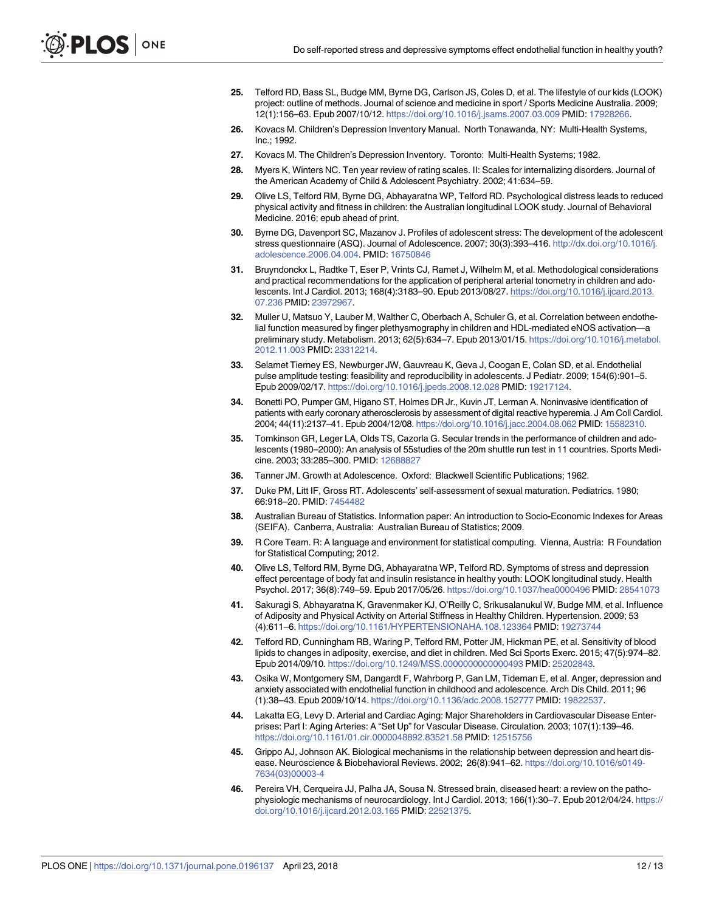- <span id="page-11-0"></span>**[25](#page-2-0).** Telford RD, Bass SL, Budge MM, Byrne DG, Carlson JS, Coles D, et al. The lifestyle of our kids (LOOK) project: outline of methods. Journal of science and medicine in sport / Sports Medicine Australia. 2009; 12(1):156–63. Epub 2007/10/12. <https://doi.org/10.1016/j.jsams.2007.03.009> PMID: [17928266.](http://www.ncbi.nlm.nih.gov/pubmed/17928266)
- **[26](#page-2-0).** Kovacs M. Children's Depression Inventory Manual. North Tonawanda, NY: Multi-Health Systems, Inc.; 1992.
- **27.** Kovacs M. The Children's Depression Inventory. Toronto: Multi-Health Systems; 1982.
- **[28](#page-2-0).** Myers K, Winters NC. Ten year review of rating scales. II: Scales for internalizing disorders. Journal of the American Academy of Child & Adolescent Psychiatry. 2002; 41:634–59.
- **[29](#page-2-0).** Olive LS, Telford RM, Byrne DG, Abhayaratna WP, Telford RD. Psychological distress leads to reduced physical activity and fitness in children: the Australian longitudinal LOOK study. Journal of Behavioral Medicine. 2016; epub ahead of print.
- **[30](#page-3-0).** Byrne DG, Davenport SC, Mazanov J. Profiles of adolescent stress: The development of the adolescent stress questionnaire (ASQ). Journal of Adolescence. 2007; 30(3):393–416. [http://dx.doi.org/10.1016/j.](http://dx.doi.org/10.1016/j.adolescence.2006.04.004) [adolescence.2006.04.004](http://dx.doi.org/10.1016/j.adolescence.2006.04.004). PMID: [16750846](http://www.ncbi.nlm.nih.gov/pubmed/16750846)
- **[31](#page-3-0).** Bruyndonckx L, Radtke T, Eser P, Vrints CJ, Ramet J, Wilhelm M, et al. Methodological considerations and practical recommendations for the application of peripheral arterial tonometry in children and adolescents. Int J Cardiol. 2013; 168(4):3183–90. Epub 2013/08/27. [https://doi.org/10.1016/j.ijcard.2013.](https://doi.org/10.1016/j.ijcard.2013.07.236) [07.236](https://doi.org/10.1016/j.ijcard.2013.07.236) PMID: [23972967.](http://www.ncbi.nlm.nih.gov/pubmed/23972967)
- **[32](#page-3-0).** Muller U, Matsuo Y, Lauber M, Walther C, Oberbach A, Schuler G, et al. Correlation between endothelial function measured by finger plethysmography in children and HDL-mediated eNOS activation—a preliminary study. Metabolism. 2013; 62(5):634–7. Epub 2013/01/15. [https://doi.org/10.1016/j.metabol.](https://doi.org/10.1016/j.metabol.2012.11.003) [2012.11.003](https://doi.org/10.1016/j.metabol.2012.11.003) PMID: [23312214.](http://www.ncbi.nlm.nih.gov/pubmed/23312214)
- **[33](#page-3-0).** Selamet Tierney ES, Newburger JW, Gauvreau K, Geva J, Coogan E, Colan SD, et al. Endothelial pulse amplitude testing: feasibility and reproducibility in adolescents. J Pediatr. 2009; 154(6):901–5. Epub 2009/02/17. <https://doi.org/10.1016/j.jpeds.2008.12.028> PMID: [19217124](http://www.ncbi.nlm.nih.gov/pubmed/19217124).
- **[34](#page-3-0).** Bonetti PO, Pumper GM, Higano ST, Holmes DR Jr., Kuvin JT, Lerman A. Noninvasive identification of patients with early coronary atherosclerosis by assessment of digital reactive hyperemia. J Am Coll Cardiol. 2004; 44(11):2137–41. Epub 2004/12/08. <https://doi.org/10.1016/j.jacc.2004.08.062> PMID: [15582310.](http://www.ncbi.nlm.nih.gov/pubmed/15582310)
- **[35](#page-3-0).** Tomkinson GR, Leger LA, Olds TS, Cazorla G. Secular trends in the performance of children and adolescents (1980–2000): An analysis of 55studies of the 20m shuttle run test in 11 countries. Sports Medicine. 2003; 33:285–300. PMID: [12688827](http://www.ncbi.nlm.nih.gov/pubmed/12688827)
- **[36](#page-3-0).** Tanner JM. Growth at Adolescence. Oxford: Blackwell Scientific Publications; 1962.
- **[37](#page-3-0).** Duke PM, Litt IF, Gross RT. Adolescents' self-assessment of sexual maturation. Pediatrics. 1980; 66:918–20. PMID: [7454482](http://www.ncbi.nlm.nih.gov/pubmed/7454482)
- **[38](#page-4-0).** Australian Bureau of Statistics. Information paper: An introduction to Socio-Economic Indexes for Areas (SEIFA). Canberra, Australia: Australian Bureau of Statistics; 2009.
- **[39](#page-4-0).** R Core Team. R: A language and environment for statistical computing. Vienna, Austria: R Foundation for Statistical Computing; 2012.
- **[40](#page-5-0).** Olive LS, Telford RM, Byrne DG, Abhayaratna WP, Telford RD. Symptoms of stress and depression effect percentage of body fat and insulin resistance in healthy youth: LOOK longitudinal study. Health Psychol. 2017; 36(8):749–59. Epub 2017/05/26. <https://doi.org/10.1037/hea0000496> PMID: [28541073](http://www.ncbi.nlm.nih.gov/pubmed/28541073)
- **[41](#page-7-0).** Sakuragi S, Abhayaratna K, Gravenmaker KJ, O'Reilly C, Srikusalanukul W, Budge MM, et al. Influence of Adiposity and Physical Activity on Arterial Stiffness in Healthy Children. Hypertension. 2009; 53 (4):611–6. <https://doi.org/10.1161/HYPERTENSIONAHA.108.123364> PMID: [19273744](http://www.ncbi.nlm.nih.gov/pubmed/19273744)
- **[42](#page-7-0).** Telford RD, Cunningham RB, Waring P, Telford RM, Potter JM, Hickman PE, et al. Sensitivity of blood lipids to changes in adiposity, exercise, and diet in children. Med Sci Sports Exerc. 2015; 47(5):974–82. Epub 2014/09/10. <https://doi.org/10.1249/MSS.0000000000000493> PMID: [25202843.](http://www.ncbi.nlm.nih.gov/pubmed/25202843)
- **[43](#page-8-0).** Osika W, Montgomery SM, Dangardt F, Wahrborg P, Gan LM, Tideman E, et al. Anger, depression and anxiety associated with endothelial function in childhood and adolescence. Arch Dis Child. 2011; 96 (1):38–43. Epub 2009/10/14. <https://doi.org/10.1136/adc.2008.152777> PMID: [19822537](http://www.ncbi.nlm.nih.gov/pubmed/19822537).
- **[44](#page-8-0).** Lakatta EG, Levy D. Arterial and Cardiac Aging: Major Shareholders in Cardiovascular Disease Enterprises: Part I: Aging Arteries: A "Set Up" for Vascular Disease. Circulation. 2003; 107(1):139–46. <https://doi.org/10.1161/01.cir.0000048892.83521.58> PMID: [12515756](http://www.ncbi.nlm.nih.gov/pubmed/12515756)
- **[45](#page-8-0).** Grippo AJ, Johnson AK. Biological mechanisms in the relationship between depression and heart disease. Neuroscience & Biobehavioral Reviews. 2002; 26(8):941–62. [https://doi.org/10.1016/s0149-](https://doi.org/10.1016/s0149-7634(03)00003-4) [7634\(03\)00003-4](https://doi.org/10.1016/s0149-7634(03)00003-4)
- **[46](#page-8-0).** Pereira VH, Cerqueira JJ, Palha JA, Sousa N. Stressed brain, diseased heart: a review on the pathophysiologic mechanisms of neurocardiology. Int J Cardiol. 2013; 166(1):30-7. Epub 2012/04/24. [https://](https://doi.org/10.1016/j.ijcard.2012.03.165) [doi.org/10.1016/j.ijcard.2012.03.165](https://doi.org/10.1016/j.ijcard.2012.03.165) PMID: [22521375](http://www.ncbi.nlm.nih.gov/pubmed/22521375).